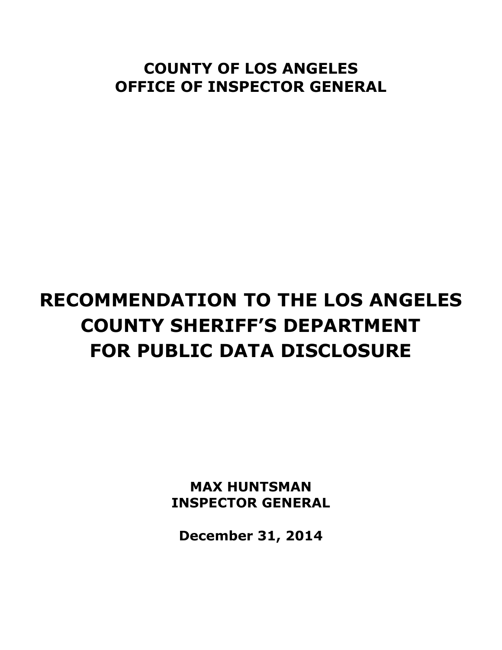# **COUNTY OF LOS ANGELES OFFICE OF INSPECTOR GENERAL**

# **RECOMMENDATION TO THE LOS ANGELES COUNTY SHERIFF'S DEPARTMENT FOR PUBLIC DATA DISCLOSURE**

**MAX HUNTSMAN INSPECTOR GENERAL**

**December 31, 2014**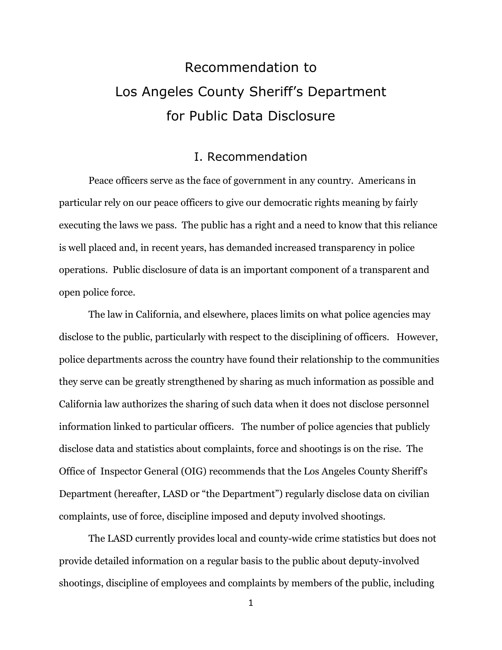# Recommendation to Los Angeles County Sheriff's Department for Public Data Disclosure

### I. Recommendation

Peace officers serve as the face of government in any country. Americans in particular rely on our peace officers to give our democratic rights meaning by fairly executing the laws we pass. The public has a right and a need to know that this reliance is well placed and, in recent years, has demanded increased transparency in police operations. Public disclosure of data is an important component of a transparent and open police force.

The law in California, and elsewhere, places limits on what police agencies may disclose to the public, particularly with respect to the disciplining of officers. However, police departments across the country have found their relationship to the communities they serve can be greatly strengthened by sharing as much information as possible and California law authorizes the sharing of such data when it does not disclose personnel information linked to particular officers. The number of police agencies that publicly disclose data and statistics about complaints, force and shootings is on the rise. The Office of Inspector General (OIG) recommends that the Los Angeles County Sheriff's Department (hereafter, LASD or "the Department") regularly disclose data on civilian complaints, use of force, discipline imposed and deputy involved shootings.

The LASD currently provides local and county-wide crime statistics but does not provide detailed information on a regular basis to the public about deputy-involved shootings, discipline of employees and complaints by members of the public, including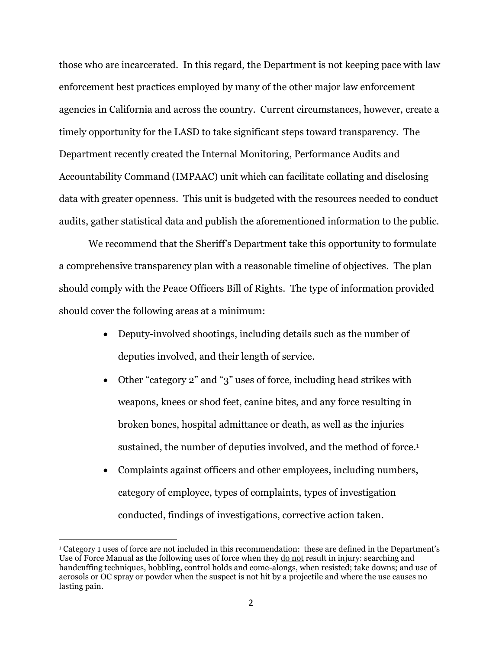those who are incarcerated. In this regard, the Department is not keeping pace with law enforcement best practices employed by many of the other major law enforcement agencies in California and across the country. Current circumstances, however, create a timely opportunity for the LASD to take significant steps toward transparency. The Department recently created the Internal Monitoring, Performance Audits and Accountability Command (IMPAAC) unit which can facilitate collating and disclosing data with greater openness. This unit is budgeted with the resources needed to conduct audits, gather statistical data and publish the aforementioned information to the public.

We recommend that the Sheriff's Department take this opportunity to formulate a comprehensive transparency plan with a reasonable timeline of objectives. The plan should comply with the Peace Officers Bill of Rights. The type of information provided should cover the following areas at a minimum:

- Deputy-involved shootings, including details such as the number of deputies involved, and their length of service.
- Other "category 2" and "3" uses of force, including head strikes with weapons, knees or shod feet, canine bites, and any force resulting in broken bones, hospital admittance or death, as well as the injuries sustained, the number of deputies involved, and the method of force. 1
- Complaints against officers and other employees, including numbers, category of employee, types of complaints, types of investigation conducted, findings of investigations, corrective action taken.

<sup>1</sup> Category 1 uses of force are not included in this recommendation: these are defined in the Department's Use of Force Manual as the following uses of force when they do not result in injury: searching and handcuffing techniques, hobbling, control holds and come-alongs, when resisted; take downs; and use of aerosols or OC spray or powder when the suspect is not hit by a projectile and where the use causes no lasting pain.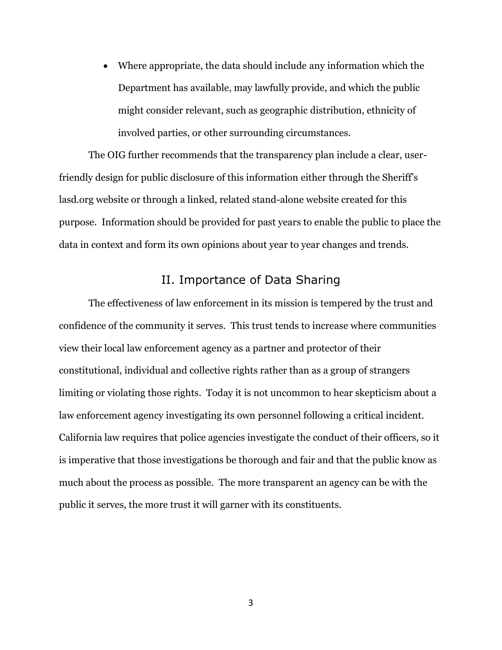Where appropriate, the data should include any information which the Department has available, may lawfully provide, and which the public might consider relevant, such as geographic distribution, ethnicity of involved parties, or other surrounding circumstances.

The OIG further recommends that the transparency plan include a clear, userfriendly design for public disclosure of this information either through the Sheriff's lasd.org website or through a linked, related stand-alone website created for this purpose. Information should be provided for past years to enable the public to place the data in context and form its own opinions about year to year changes and trends.

### II. Importance of Data Sharing

The effectiveness of law enforcement in its mission is tempered by the trust and confidence of the community it serves. This trust tends to increase where communities view their local law enforcement agency as a partner and protector of their constitutional, individual and collective rights rather than as a group of strangers limiting or violating those rights. Today it is not uncommon to hear skepticism about a law enforcement agency investigating its own personnel following a critical incident. California law requires that police agencies investigate the conduct of their officers, so it is imperative that those investigations be thorough and fair and that the public know as much about the process as possible. The more transparent an agency can be with the public it serves, the more trust it will garner with its constituents.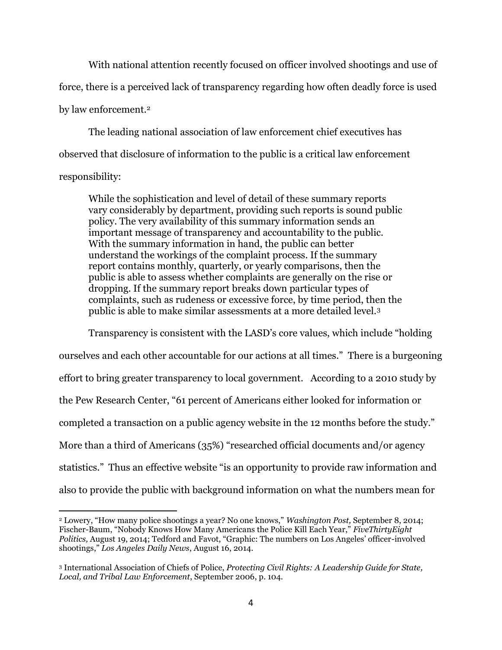With national attention recently focused on officer involved shootings and use of force, there is a perceived lack of transparency regarding how often deadly force is used by law enforcement.<sup>2</sup>

The leading national association of law enforcement chief executives has observed that disclosure of information to the public is a critical law enforcement responsibility:

While the sophistication and level of detail of these summary reports vary considerably by department, providing such reports is sound public policy. The very availability of this summary information sends an important message of transparency and accountability to the public. With the summary information in hand, the public can better understand the workings of the complaint process. If the summary report contains monthly, quarterly, or yearly comparisons, then the public is able to assess whether complaints are generally on the rise or dropping. If the summary report breaks down particular types of complaints, such as rudeness or excessive force, by time period, then the public is able to make similar assessments at a more detailed level.<sup>3</sup>

Transparency is consistent with the LASD's core values, which include "holding ourselves and each other accountable for our actions at all times." There is a burgeoning effort to bring greater transparency to local government. According to a 2010 study by the Pew Research Center, "61 percent of Americans either looked for information or completed a transaction on a public agency website in the 12 months before the study." More than a third of Americans (35%) "researched official documents and/or agency statistics." Thus an effective website "is an opportunity to provide raw information and also to provide the public with background information on what the numbers mean for

<sup>2</sup> Lowery, "How many police shootings a year? No one knows," *Washington Post,* September 8, 2014; Fischer-Baum, "Nobody Knows How Many Americans the Police Kill Each Year," *FiveThirtyEight Politics,* August 19, 2014; Tedford and Favot, "Graphic: The numbers on Los Angeles' officer-involved shootings," *Los Angeles Daily News*, August 16, 2014.

<sup>3</sup> International Association of Chiefs of Police, *Protecting Civil Rights: A Leadership Guide for State, Local, and Tribal Law Enforcement*, September 2006, p. 104.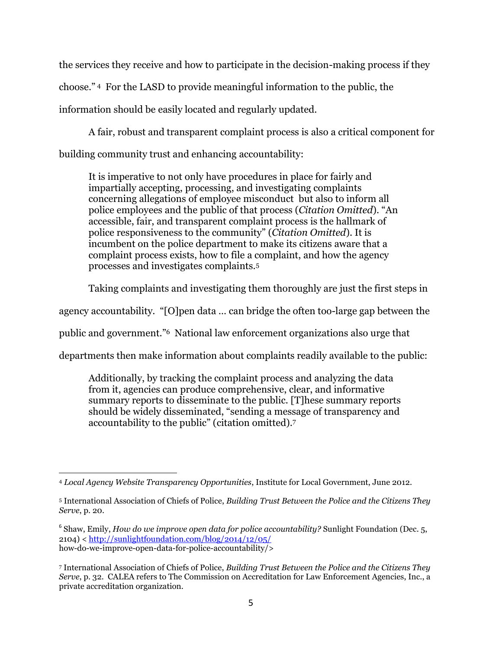the services they receive and how to participate in the decision-making process if they choose." <sup>4</sup> For the LASD to provide meaningful information to the public, the information should be easily located and regularly updated.

A fair, robust and transparent complaint process is also a critical component for building community trust and enhancing accountability:

It is imperative to not only have procedures in place for fairly and impartially accepting, processing, and investigating complaints concerning allegations of employee misconduct but also to inform all police employees and the public of that process (*Citation Omitted*). "An accessible, fair, and transparent complaint process is the hallmark of police responsiveness to the community" (*Citation Omitted*). It is incumbent on the police department to make its citizens aware that a complaint process exists, how to file a complaint, and how the agency processes and investigates complaints.<sup>5</sup>

Taking complaints and investigating them thoroughly are just the first steps in

agency accountability. "[O]pen data … can bridge the often too-large gap between the

public and government."<sup>6</sup> National law enforcement organizations also urge that

departments then make information about complaints readily available to the public:

Additionally, by tracking the complaint process and analyzing the data from it, agencies can produce comprehensive, clear, and informative summary reports to disseminate to the public. [T]hese summary reports should be widely disseminated, "sending a message of transparency and accountability to the public" (citation omitted).<sup>7</sup>

 $\overline{a}$ <sup>4</sup> *Local Agency Website Transparency Opportunities*, Institute for Local Government, June 2012.

<sup>5</sup> International Association of Chiefs of Police, *Building Trust Between the Police and the Citizens They Serve*, p. 20.

<sup>&</sup>lt;sup>6</sup> Shaw, Emily, *How do we improve open data for police accountability?* Sunlight Foundation (Dec. 5, 2104) < <http://sunlightfoundation.com/blog/2014/12/05/> how-do-we-improve-open-data-for-police-accountability/>

<sup>7</sup> International Association of Chiefs of Police, *Building Trust Between the Police and the Citizens They Serve*, p. 32. CALEA refers to The Commission on Accreditation for Law Enforcement Agencies, Inc., a private accreditation organization.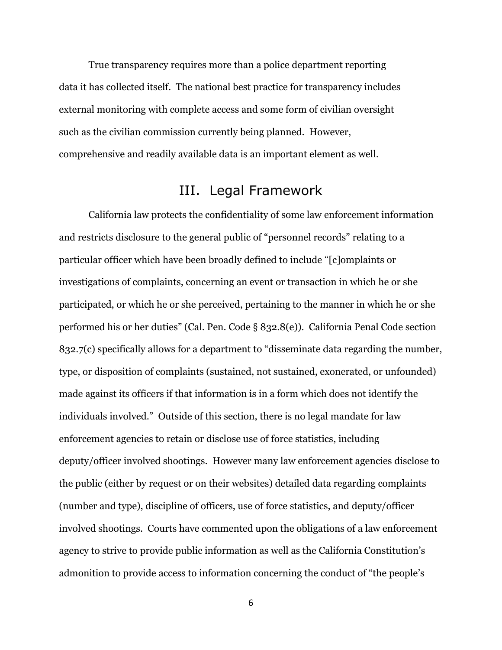True transparency requires more than a police department reporting data it has collected itself. The national best practice for transparency includes external monitoring with complete access and some form of civilian oversight such as the civilian commission currently being planned. However, comprehensive and readily available data is an important element as well.

## III. Legal Framework

California law protects the confidentiality of some law enforcement information and restricts disclosure to the general public of "personnel records" relating to a particular officer which have been broadly defined to include "[c]omplaints or investigations of complaints, concerning an event or transaction in which he or she participated, or which he or she perceived, pertaining to the manner in which he or she performed his or her duties" (Cal. Pen. Code § 832.8(e)). California Penal Code section 832.7(c) specifically allows for a department to "disseminate data regarding the number, type, or disposition of complaints (sustained, not sustained, exonerated, or unfounded) made against its officers if that information is in a form which does not identify the individuals involved." Outside of this section, there is no legal mandate for law enforcement agencies to retain or disclose use of force statistics, including deputy/officer involved shootings. However many law enforcement agencies disclose to the public (either by request or on their websites) detailed data regarding complaints (number and type), discipline of officers, use of force statistics, and deputy/officer involved shootings. Courts have commented upon the obligations of a law enforcement agency to strive to provide public information as well as the California Constitution's admonition to provide access to information concerning the conduct of "the people's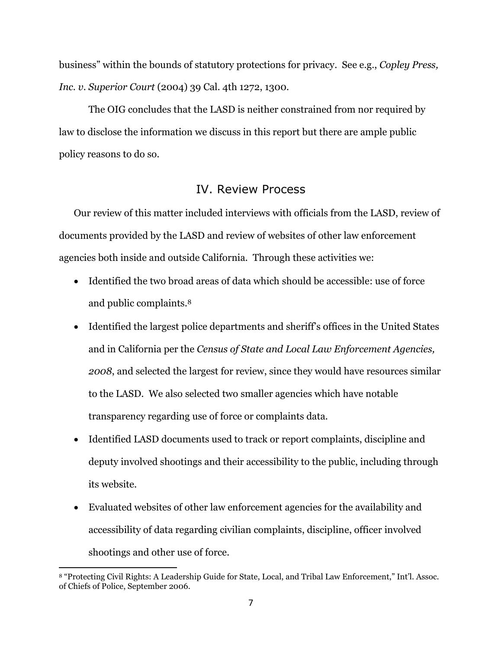business" within the bounds of statutory protections for privacy. See e.g., *Copley Press, Inc. v. Superior Court* (2004) 39 Cal. 4th 1272, 1300.

The OIG concludes that the LASD is neither constrained from nor required by law to disclose the information we discuss in this report but there are ample public policy reasons to do so.

## IV. Review Process

Our review of this matter included interviews with officials from the LASD, review of documents provided by the LASD and review of websites of other law enforcement agencies both inside and outside California. Through these activities we:

- Identified the two broad areas of data which should be accessible: use of force and public complaints. 8
- Identified the largest police departments and sheriff's offices in the United States and in California per the *Census of State and Local Law Enforcement Agencies, 2008*, and selected the largest for review, since they would have resources similar to the LASD. We also selected two smaller agencies which have notable transparency regarding use of force or complaints data.
- Identified LASD documents used to track or report complaints, discipline and deputy involved shootings and their accessibility to the public, including through its website.
- Evaluated websites of other law enforcement agencies for the availability and accessibility of data regarding civilian complaints, discipline, officer involved shootings and other use of force.

<sup>8</sup> "Protecting Civil Rights: A Leadership Guide for State, Local, and Tribal Law Enforcement," Int'l. Assoc. of Chiefs of Police, September 2006.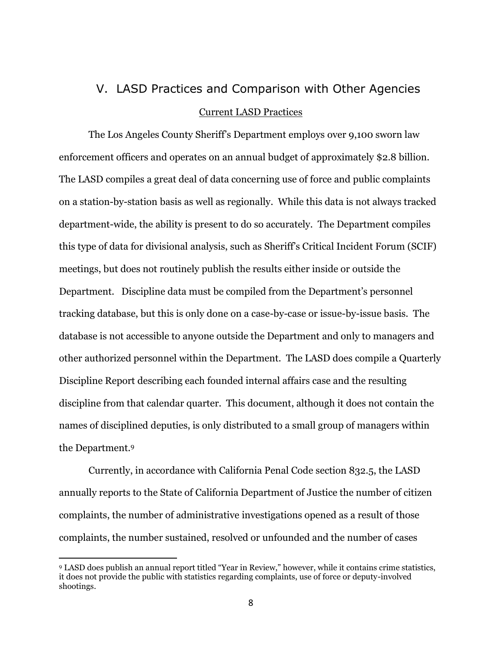# V. LASD Practices and Comparison with Other Agencies Current LASD Practices

The Los Angeles County Sheriff's Department employs over 9,100 sworn law enforcement officers and operates on an annual budget of approximately \$2.8 billion. The LASD compiles a great deal of data concerning use of force and public complaints on a station-by-station basis as well as regionally. While this data is not always tracked department-wide, the ability is present to do so accurately. The Department compiles this type of data for divisional analysis, such as Sheriff's Critical Incident Forum (SCIF) meetings, but does not routinely publish the results either inside or outside the Department. Discipline data must be compiled from the Department's personnel tracking database, but this is only done on a case-by-case or issue-by-issue basis. The database is not accessible to anyone outside the Department and only to managers and other authorized personnel within the Department. The LASD does compile a Quarterly Discipline Report describing each founded internal affairs case and the resulting discipline from that calendar quarter. This document, although it does not contain the names of disciplined deputies, is only distributed to a small group of managers within the Department. 9

Currently, in accordance with California Penal Code section 832.5, the LASD annually reports to the State of California Department of Justice the number of citizen complaints, the number of administrative investigations opened as a result of those complaints, the number sustained, resolved or unfounded and the number of cases

<sup>9</sup> LASD does publish an annual report titled "Year in Review," however, while it contains crime statistics, it does not provide the public with statistics regarding complaints, use of force or deputy-involved shootings.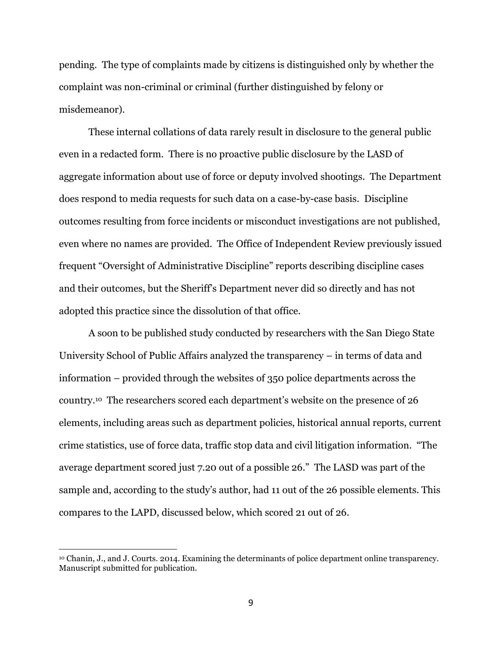pending. The type of complaints made by citizens is distinguished only by whether the complaint was non-criminal or criminal (further distinguished by felony or misdemeanor).

These internal collations of data rarely result in disclosure to the general public even in a redacted form. There is no proactive public disclosure by the LASD of aggregate information about use of force or deputy involved shootings. The Department does respond to media requests for such data on a case-by-case basis. Discipline outcomes resulting from force incidents or misconduct investigations are not published, even where no names are provided. The Office of Independent Review previously issued frequent "Oversight of Administrative Discipline" reports describing discipline cases and their outcomes, but the Sheriff's Department never did so directly and has not adopted this practice since the dissolution of that office.

A soon to be published study conducted by researchers with the San Diego State University School of Public Affairs analyzed the transparency – in terms of data and information – provided through the websites of 350 police departments across the country.<sup>10</sup> The researchers scored each department's website on the presence of 26 elements, including areas such as department policies, historical annual reports, current crime statistics, use of force data, traffic stop data and civil litigation information. "The average department scored just 7.20 out of a possible 26." The LASD was part of the sample and, according to the study's author, had 11 out of the 26 possible elements. This compares to the LAPD, discussed below, which scored 21 out of 26.

<sup>10</sup> Chanin, J., and J. Courts. 2014. Examining the determinants of police department online transparency. Manuscript submitted for publication.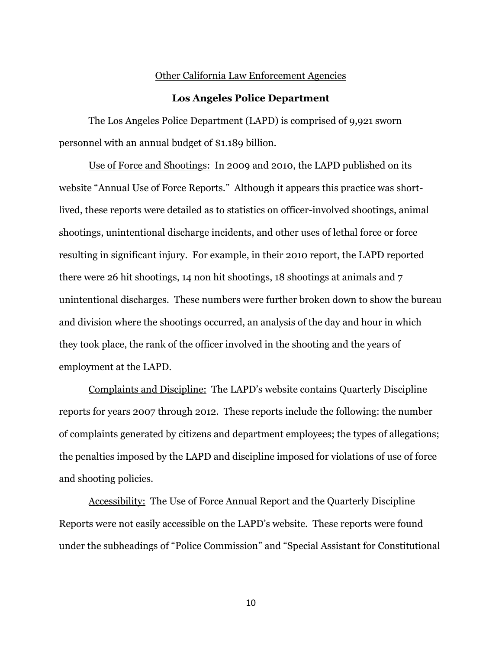#### Other California Law Enforcement Agencies

#### **Los Angeles Police Department**

The Los Angeles Police Department (LAPD) is comprised of 9,921 sworn personnel with an annual budget of \$1.189 billion.

Use of Force and Shootings: In 2009 and 2010, the LAPD published on its website "Annual Use of Force Reports." Although it appears this practice was shortlived, these reports were detailed as to statistics on officer-involved shootings, animal shootings, unintentional discharge incidents, and other uses of lethal force or force resulting in significant injury. For example, in their 2010 report, the LAPD reported there were 26 hit shootings, 14 non hit shootings, 18 shootings at animals and 7 unintentional discharges. These numbers were further broken down to show the bureau and division where the shootings occurred, an analysis of the day and hour in which they took place, the rank of the officer involved in the shooting and the years of employment at the LAPD.

Complaints and Discipline: The LAPD's website contains Quarterly Discipline reports for years 2007 through 2012. These reports include the following: the number of complaints generated by citizens and department employees; the types of allegations; the penalties imposed by the LAPD and discipline imposed for violations of use of force and shooting policies.

Accessibility: The Use of Force Annual Report and the Quarterly Discipline Reports were not easily accessible on the LAPD's website. These reports were found under the subheadings of "Police Commission" and "Special Assistant for Constitutional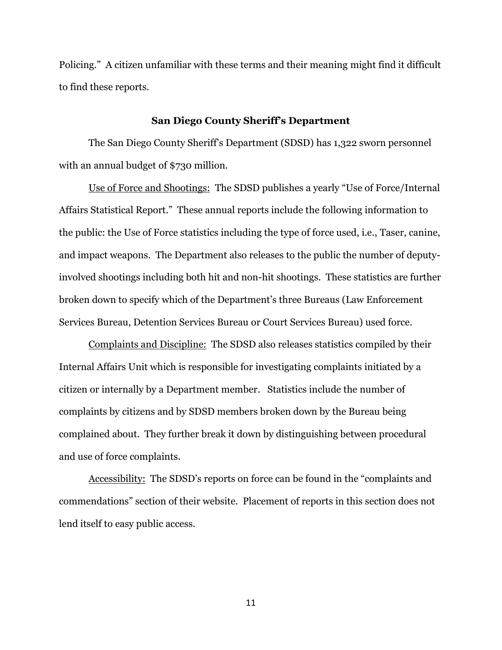Policing." A citizen unfamiliar with these terms and their meaning might find it difficult to find these reports.

#### **San Diego County Sheriff's Department**

The San Diego County Sheriff's Department (SDSD) has 1,322 sworn personnel with an annual budget of \$730 million.

Use of Force and Shootings: The SDSD publishes a yearly "Use of Force/Internal Affairs Statistical Report." These annual reports include the following information to the public: the Use of Force statistics including the type of force used, i.e., Taser, canine, and impact weapons. The Department also releases to the public the number of deputyinvolved shootings including both hit and non-hit shootings. These statistics are further broken down to specify which of the Department's three Bureaus (Law Enforcement Services Bureau, Detention Services Bureau or Court Services Bureau) used force.

Complaints and Discipline: The SDSD also releases statistics compiled by their Internal Affairs Unit which is responsible for investigating complaints initiated by a citizen or internally by a Department member. Statistics include the number of complaints by citizens and by SDSD members broken down by the Bureau being complained about. They further break it down by distinguishing between procedural and use of force complaints.

Accessibility: The SDSD's reports on force can be found in the "complaints and commendations" section of their website. Placement of reports in this section does not lend itself to easy public access.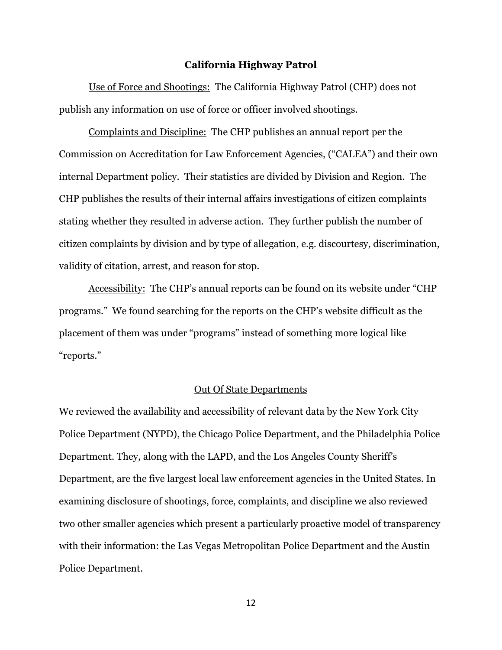#### **California Highway Patrol**

Use of Force and Shootings:The California Highway Patrol (CHP) does not publish any information on use of force or officer involved shootings.

Complaints and Discipline: The CHP publishes an annual report per the Commission on Accreditation for Law Enforcement Agencies, ("CALEA") and their own internal Department policy. Their statistics are divided by Division and Region. The CHP publishes the results of their internal affairs investigations of citizen complaints stating whether they resulted in adverse action. They further publish the number of citizen complaints by division and by type of allegation, e.g. discourtesy, discrimination, validity of citation, arrest, and reason for stop.

Accessibility: The CHP's annual reports can be found on its website under "CHP programs." We found searching for the reports on the CHP's website difficult as the placement of them was under "programs" instead of something more logical like "reports."

#### Out Of State Departments

We reviewed the availability and accessibility of relevant data by the New York City Police Department (NYPD), the Chicago Police Department, and the Philadelphia Police Department. They, along with the LAPD, and the Los Angeles County Sheriff's Department, are the five largest local law enforcement agencies in the United States. In examining disclosure of shootings, force, complaints, and discipline we also reviewed two other smaller agencies which present a particularly proactive model of transparency with their information: the Las Vegas Metropolitan Police Department and the Austin Police Department.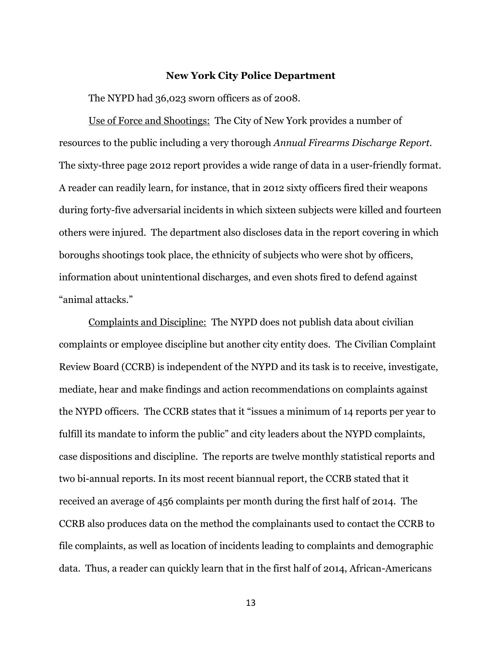#### **New York City Police Department**

The NYPD had 36,023 sworn officers as of 2008.

Use of Force and Shootings: The City of New York provides a number of resources to the public including a very thorough *Annual Firearms Discharge Report.* The sixty-three page 2012 report provides a wide range of data in a user-friendly format. A reader can readily learn, for instance, that in 2012 sixty officers fired their weapons during forty-five adversarial incidents in which sixteen subjects were killed and fourteen others were injured. The department also discloses data in the report covering in which boroughs shootings took place, the ethnicity of subjects who were shot by officers, information about unintentional discharges, and even shots fired to defend against "animal attacks."

Complaints and Discipline:The NYPD does not publish data about civilian complaints or employee discipline but another city entity does. The Civilian Complaint Review Board (CCRB) is independent of the NYPD and its task is to receive, investigate, mediate, hear and make findings and action recommendations on complaints against the NYPD officers. The CCRB states that it "issues a minimum of 14 reports per year to fulfill its mandate to inform the public" and city leaders about the NYPD complaints, case dispositions and discipline. The reports are twelve monthly statistical reports and two bi-annual reports. In its most recent biannual report, the CCRB stated that it received an average of 456 complaints per month during the first half of 2014. The CCRB also produces data on the method the complainants used to contact the CCRB to file complaints, as well as location of incidents leading to complaints and demographic data. Thus, a reader can quickly learn that in the first half of 2014, African-Americans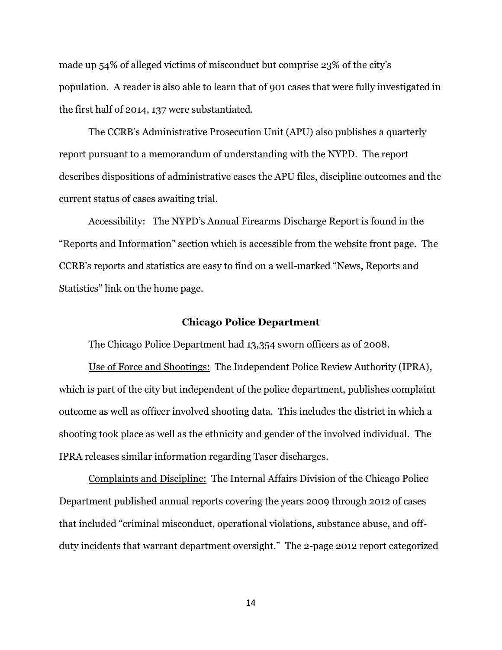made up 54% of alleged victims of misconduct but comprise 23% of the city's population. A reader is also able to learn that of 901 cases that were fully investigated in the first half of 2014, 137 were substantiated.

The CCRB's Administrative Prosecution Unit (APU) also publishes a quarterly report pursuant to a memorandum of understanding with the NYPD. The report describes dispositions of administrative cases the APU files, discipline outcomes and the current status of cases awaiting trial.

Accessibility: The NYPD's Annual Firearms Discharge Report is found in the "Reports and Information" section which is accessible from the website front page. The CCRB's reports and statistics are easy to find on a well-marked "News, Reports and Statistics" link on the home page.

#### **Chicago Police Department**

The Chicago Police Department had 13,354 sworn officers as of 2008.

Use of Force and Shootings: The Independent Police Review Authority (IPRA), which is part of the city but independent of the police department, publishes complaint outcome as well as officer involved shooting data. This includes the district in which a shooting took place as well as the ethnicity and gender of the involved individual. The IPRA releases similar information regarding Taser discharges.

Complaints and Discipline: The Internal Affairs Division of the Chicago Police Department published annual reports covering the years 2009 through 2012 of cases that included "criminal misconduct, operational violations, substance abuse, and offduty incidents that warrant department oversight." The 2-page 2012 report categorized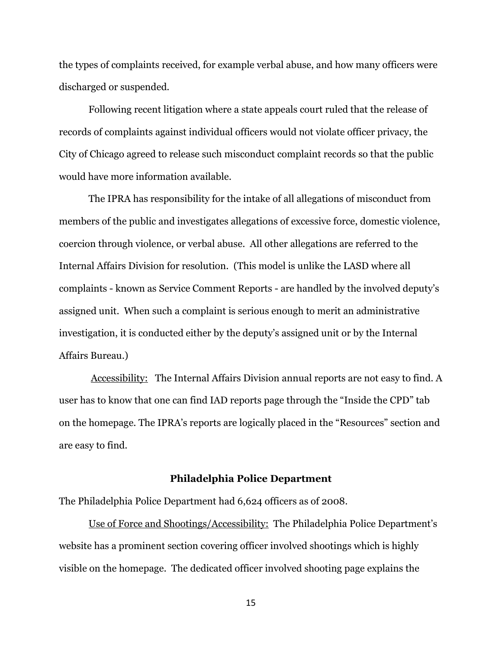the types of complaints received, for example verbal abuse, and how many officers were discharged or suspended.

Following recent litigation where a state appeals court ruled that the release of records of complaints against individual officers would not violate officer privacy, the City of Chicago agreed to release such misconduct complaint records so that the public would have more information available.

The IPRA has responsibility for the intake of all allegations of misconduct from members of the public and investigates allegations of excessive force, domestic violence, coercion through violence, or verbal abuse. All other allegations are referred to the Internal Affairs Division for resolution. (This model is unlike the LASD where all complaints - known as Service Comment Reports - are handled by the involved deputy's assigned unit. When such a complaint is serious enough to merit an administrative investigation, it is conducted either by the deputy's assigned unit or by the Internal Affairs Bureau.)

Accessibility: The Internal Affairs Division annual reports are not easy to find. A user has to know that one can find IAD reports page through the "Inside the CPD" tab on the homepage. The IPRA's reports are logically placed in the "Resources" section and are easy to find.

#### **Philadelphia Police Department**

The Philadelphia Police Department had 6,624 officers as of 2008.

Use of Force and Shootings/Accessibility: The Philadelphia Police Department's website has a prominent section covering officer involved shootings which is highly visible on the homepage. The dedicated officer involved shooting page explains the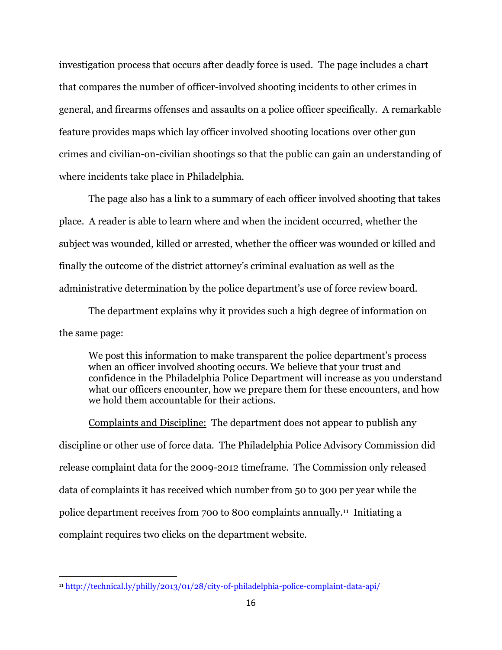investigation process that occurs after deadly force is used. The page includes a chart that compares the number of officer-involved shooting incidents to other crimes in general, and firearms offenses and assaults on a police officer specifically. A remarkable feature provides maps which lay officer involved shooting locations over other gun crimes and civilian-on-civilian shootings so that the public can gain an understanding of where incidents take place in Philadelphia.

The page also has a link to a summary of each officer involved shooting that takes place. A reader is able to learn where and when the incident occurred, whether the subject was wounded, killed or arrested, whether the officer was wounded or killed and finally the outcome of the district attorney's criminal evaluation as well as the administrative determination by the police department's use of force review board.

The department explains why it provides such a high degree of information on the same page:

We post this information to make transparent the police department's process when an officer involved shooting occurs. We believe that your trust and confidence in the Philadelphia Police Department will increase as you understand what our officers encounter, how we prepare them for these encounters, and how we hold them accountable for their actions.

Complaints and Discipline: The department does not appear to publish any discipline or other use of force data. The Philadelphia Police Advisory Commission did release complaint data for the 2009-2012 timeframe. The Commission only released data of complaints it has received which number from 50 to 300 per year while the police department receives from 700 to 800 complaints annually.<sup>11</sup> Initiating a complaint requires two clicks on the department website.

<sup>11</sup> <http://technical.ly/philly/2013/01/28/city-of-philadelphia-police-complaint-data-api/>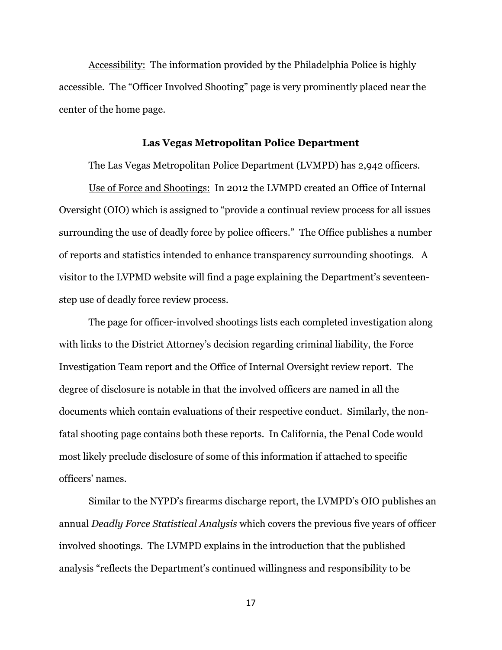Accessibility: The information provided by the Philadelphia Police is highly accessible. The "Officer Involved Shooting" page is very prominently placed near the center of the home page.

#### **Las Vegas Metropolitan Police Department**

The Las Vegas Metropolitan Police Department (LVMPD) has 2,942 officers.

Use of Force and Shootings: In 2012 the LVMPD created an Office of Internal Oversight (OIO) which is assigned to "provide a continual review process for all issues surrounding the use of deadly force by police officers." The Office publishes a number of reports and statistics intended to enhance transparency surrounding shootings. A visitor to the LVPMD website will find a page explaining the Department's seventeenstep use of deadly force review process.

The page for officer-involved shootings lists each completed investigation along with links to the District Attorney's decision regarding criminal liability, the Force Investigation Team report and the Office of Internal Oversight review report. The degree of disclosure is notable in that the involved officers are named in all the documents which contain evaluations of their respective conduct. Similarly, the nonfatal shooting page contains both these reports. In California, the Penal Code would most likely preclude disclosure of some of this information if attached to specific officers' names.

Similar to the NYPD's firearms discharge report, the LVMPD's OIO publishes an annual *Deadly Force Statistical Analysis* which covers the previous five years of officer involved shootings. The LVMPD explains in the introduction that the published analysis "reflects the Department's continued willingness and responsibility to be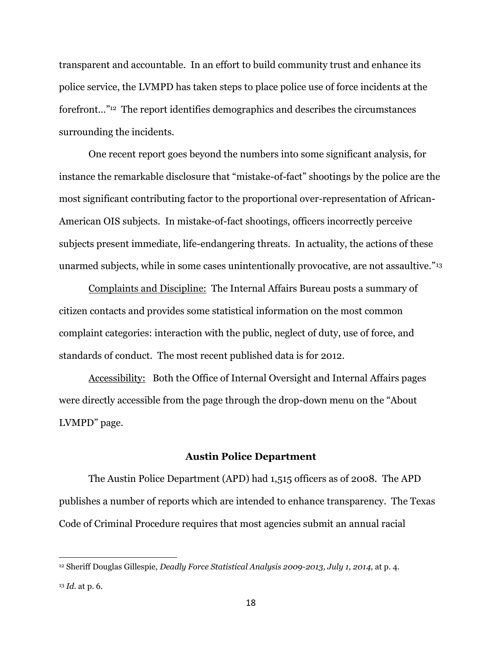transparent and accountable. In an effort to build community trust and enhance its police service, the LVMPD has taken steps to place police use of force incidents at the forefront…" <sup>12</sup> The report identifies demographics and describes the circumstances surrounding the incidents.

One recent report goes beyond the numbers into some significant analysis, for instance the remarkable disclosure that "mistake-of-fact" shootings by the police are the most significant contributing factor to the proportional over-representation of African-American OIS subjects. In mistake-of-fact shootings, officers incorrectly perceive subjects present immediate, life-endangering threats. In actuality, the actions of these unarmed subjects, while in some cases unintentionally provocative, are not assaultive."<sup>13</sup>

Complaints and Discipline: The Internal Affairs Bureau posts a summary of citizen contacts and provides some statistical information on the most common complaint categories: interaction with the public, neglect of duty, use of force, and standards of conduct. The most recent published data is for 2012.

Accessibility: Both the Office of Internal Oversight and Internal Affairs pages were directly accessible from the page through the drop-down menu on the "About LVMPD" page.

#### **Austin Police Department**

The Austin Police Department (APD) had 1,515 officers as of 2008. The APD publishes a number of reports which are intended to enhance transparency. The Texas Code of Criminal Procedure requires that most agencies submit an annual racial

<sup>&</sup>lt;sup>12</sup> Sheriff Douglas Gillespie, *Deadly Force Statistical Analysis 2009-2013, July 1, 2014,* at p. 4. <sup>13</sup> *Id.* at p. 6.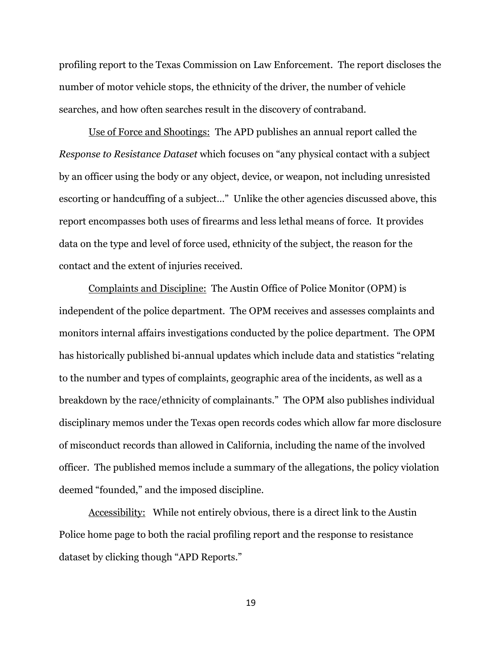profiling report to the Texas Commission on Law Enforcement. The report discloses the number of motor vehicle stops, the ethnicity of the driver, the number of vehicle searches, and how often searches result in the discovery of contraband.

Use of Force and Shootings:The APD publishes an annual report called the *Response to Resistance Dataset* which focuses on "any physical contact with a subject by an officer using the body or any object, device, or weapon, not including unresisted escorting or handcuffing of a subject…" Unlike the other agencies discussed above, this report encompasses both uses of firearms and less lethal means of force. It provides data on the type and level of force used, ethnicity of the subject, the reason for the contact and the extent of injuries received.

Complaints and Discipline: The Austin Office of Police Monitor (OPM) is independent of the police department. The OPM receives and assesses complaints and monitors internal affairs investigations conducted by the police department. The OPM has historically published bi-annual updates which include data and statistics "relating to the number and types of complaints, geographic area of the incidents, as well as a breakdown by the race/ethnicity of complainants." The OPM also publishes individual disciplinary memos under the Texas open records codes which allow far more disclosure of misconduct records than allowed in California, including the name of the involved officer. The published memos include a summary of the allegations, the policy violation deemed "founded," and the imposed discipline.

Accessibility:While not entirely obvious, there is a direct link to the Austin Police home page to both the racial profiling report and the response to resistance dataset by clicking though "APD Reports."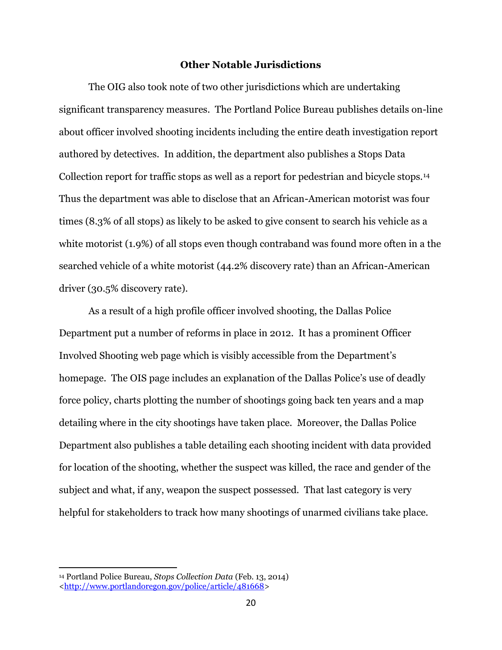#### **Other Notable Jurisdictions**

The OIG also took note of two other jurisdictions which are undertaking significant transparency measures. The Portland Police Bureau publishes details on-line about officer involved shooting incidents including the entire death investigation report authored by detectives. In addition, the department also publishes a Stops Data Collection report for traffic stops as well as a report for pedestrian and bicycle stops.<sup>14</sup> Thus the department was able to disclose that an African-American motorist was four times (8.3% of all stops) as likely to be asked to give consent to search his vehicle as a white motorist (1.9%) of all stops even though contraband was found more often in a the searched vehicle of a white motorist (44.2% discovery rate) than an African-American driver (30.5% discovery rate).

As a result of a high profile officer involved shooting, the Dallas Police Department put a number of reforms in place in 2012. It has a prominent Officer Involved Shooting web page which is visibly accessible from the Department's homepage. The OIS page includes an explanation of the Dallas Police's use of deadly force policy, charts plotting the number of shootings going back ten years and a map detailing where in the city shootings have taken place. Moreover, the Dallas Police Department also publishes a table detailing each shooting incident with data provided for location of the shooting, whether the suspect was killed, the race and gender of the subject and what, if any, weapon the suspect possessed. That last category is very helpful for stakeholders to track how many shootings of unarmed civilians take place.

<sup>14</sup> Portland Police Bureau, *Stops Collection Data* (Feb. 13, 2014) [<http://www.portlandoregon.gov/police/article/481668>](http://www.portlandoregon.gov/police/article/481668)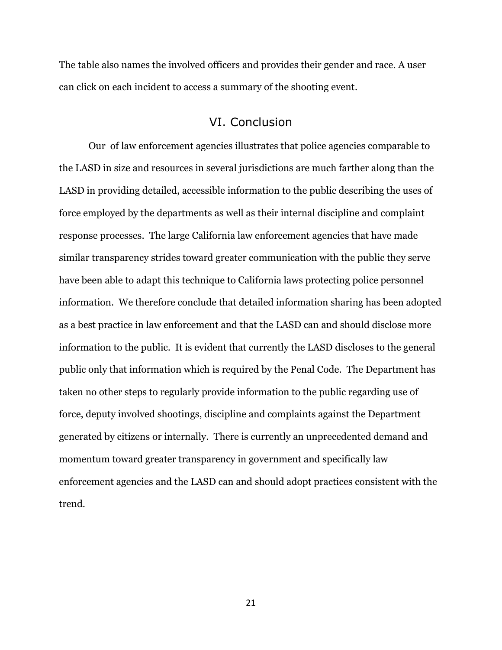The table also names the involved officers and provides their gender and race. A user can click on each incident to access a summary of the shooting event.

## VI. Conclusion

Our of law enforcement agencies illustrates that police agencies comparable to the LASD in size and resources in several jurisdictions are much farther along than the LASD in providing detailed, accessible information to the public describing the uses of force employed by the departments as well as their internal discipline and complaint response processes. The large California law enforcement agencies that have made similar transparency strides toward greater communication with the public they serve have been able to adapt this technique to California laws protecting police personnel information. We therefore conclude that detailed information sharing has been adopted as a best practice in law enforcement and that the LASD can and should disclose more information to the public. It is evident that currently the LASD discloses to the general public only that information which is required by the Penal Code. The Department has taken no other steps to regularly provide information to the public regarding use of force, deputy involved shootings, discipline and complaints against the Department generated by citizens or internally. There is currently an unprecedented demand and momentum toward greater transparency in government and specifically law enforcement agencies and the LASD can and should adopt practices consistent with the trend.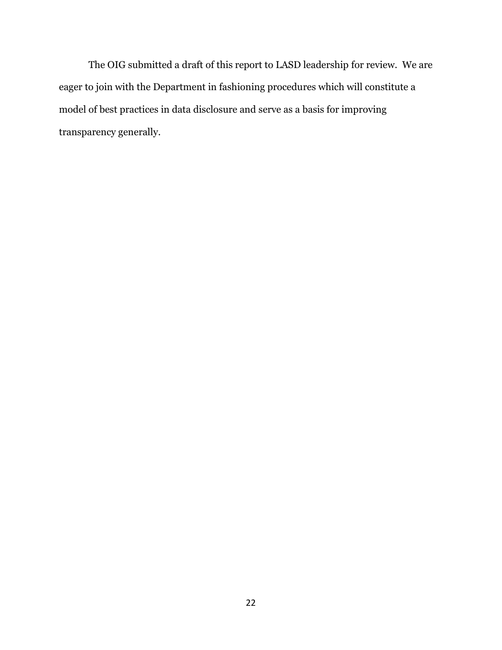The OIG submitted a draft of this report to LASD leadership for review. We are eager to join with the Department in fashioning procedures which will constitute a model of best practices in data disclosure and serve as a basis for improving transparency generally.